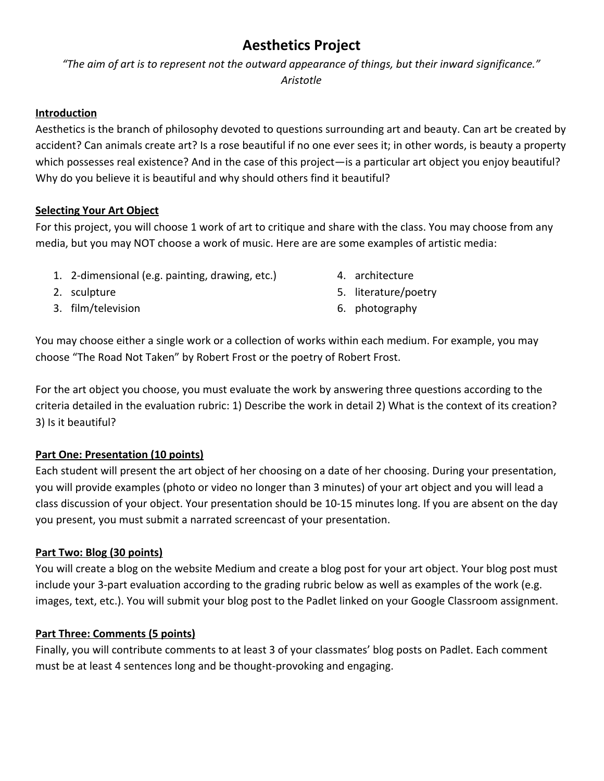# **Aesthetics Project**

*"The aim of art is to represent not the outward appearance of things, but their inward significance."*

## *Aristotle*

#### **Introduction**

Aesthetics is the branch of philosophy devoted to questions surrounding art and beauty. Can art be created by accident? Can animals create art? Is a rose beautiful if no one ever sees it; in other words, is beauty a property which possesses real existence? And in the case of this project—is a particular art object you enjoy beautiful? Why do you believe it is beautiful and why should others find it beautiful?

#### **Selecting Your Art Object**

For this project, you will choose 1 work of art to critique and share with the class. You may choose from any media, but you may NOT choose a work of music. Here are are some examples of artistic media:

- 1. 2-dimensional (e.g. painting, drawing, etc.)
- 4. architecture
- 5. literature/poetry
- 6. photography

You may choose either a single work or a collection of works within each medium. For example, you may choose "The Road Not Taken" by Robert Frost or the poetry of Robert Frost.

For the art object you choose, you must evaluate the work by answering three questions according to the criteria detailed in the evaluation rubric: 1) Describe the work in detail 2) What is the context of its creation? 3) Is it beautiful?

#### **Part One: Presentation (10 points)**

Each student will present the art object of her choosing on a date of her choosing. During your presentation, you will provide examples (photo or video no longer than 3 minutes) of your art object and you will lead a class discussion of your object. Your presentation should be 10-15 minutes long. If you are absent on the day you present, you must submit a narrated screencast of your presentation.

#### **Part Two: Blog (30 points)**

You will create a blog on the website Medium and create a blog post for your art object. Your blog post must include your 3-part evaluation according to the grading rubric below as well as examples of the work (e.g. images, text, etc.). You will submit your blog post to the Padlet linked on your Google Classroom assignment.

#### **Part Three: Comments (5 points)**

Finally, you will contribute comments to at least 3 of your classmates' blog posts on Padlet. Each comment must be at least 4 sentences long and be thought-provoking and engaging.

- 2. sculpture
- 3. film/television